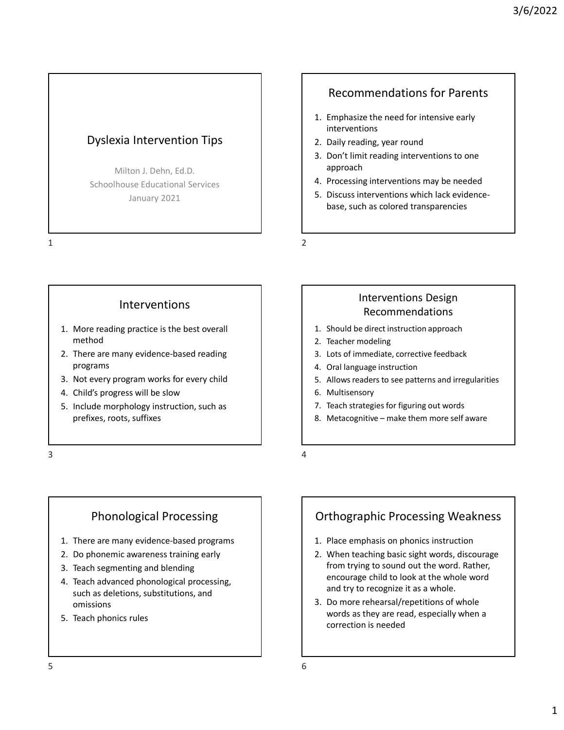## Dyslexia Intervention Tips | and the U all 2. Daily reading, year round

Milton J. Dehn, Ed.D. Schoolhouse Educational Services January 2021 Exploration Dyslexia Intervention Tips<br>
Milton J. Dehn, Ed.D.<br>
Schoolhouse Educational Services<br>
January 2021<br>
1. Emphasize the best during a protoch<br>
3. Don't limit reapproach<br>
4. Processing ir<br>
5. Discuss interventions<br> 2. There are many evidence-based reading Milton J. Dehn, Ed.D.<br>
Schoolhouse Educational Services<br>
January 2021<br>
3. Don't limit real<br>
approach<br>
4. Processing int<br>
base, such as<br>
base, such as<br>
2<br>
2<br>
There are many evidence-based reading<br>
method<br>
2. There are many Milton J. Dehn, Ed.D.<br>
Schoolhouse Educational Services<br>
January 2021<br>
A. Processing inter<br>
S. Discuss intervene base, such as co<br>
Different base, such as co<br>
2<br>
There are many evidence-based reading<br>
program<br>
2. There are Schoolhouse Educational Services<br>
January 2021<br>
1. More reading practice is the best overall<br>
method<br>
2. There are many evidence-based reading<br>
programs<br>
3. Not every program works for every child<br>
4. Child's progress will Sydnetical Intervention Tips<br>
Dyslexia Intervention Tips<br>
Milton J. Dehn, Ed.D.<br>
Schoolhouse Educational Services<br>
January 2021<br>
1 2 2 2 2 2 2 2 2 2 2 2 2 2 2 2 2 2 2 3 2 2 2 3 2 2 3 2 2 3 2 2 3 2 2 3 2 2 3 2 2 3 2 2 3 2 2

### Recommendations for Parents

- interventions
- 
- 3/6/2022<br>
Recommendations for Parents<br>
1. Emphasize the need for intensive early<br>
interventions<br>
2. Daily reading, year round<br>
3. Don't limit reading interventions to one<br>
approach<br>
4. Processing interventions may be neede approach
- 
- 3/6/2022<br>
Recommendations for Parents<br>
1. Emphasize the need for intensive early<br>
interventions<br>
2. Daily reading, year round<br>
3. Don't limit reading interventions to one<br>
approach<br>
4. Processing interventions may be neede 3/6/2022<br>
Recommendations for Parents<br>
1. Emphasize the need for intensive early<br>
interventions<br>
2. Daily reading, year round<br>
3. Don't limit reading interventions to one<br>
approach<br>
4. Processing interventions may be neede 3/6/2022<br>
Recommendations for Parents<br>
1. Emphasize the need for intensive early<br>
interventions<br>
2. Daily reading, year round<br>
3. Don't limit reading interventions to one<br>
approach<br>
4. Processing interventions may be neede 3/6/2022<br>
Recommendations for Parents<br>
1. Emphasize the need for intensive early<br>
interventions<br>
2. Daily reading, year round<br>
3. Don't limit reading interventions to one<br>
approach<br>
4. Processing interventions may be neede base, such as colored transparencies 1. Emphasize the need for intensive early<br>
2. Daily reading, year round<br>
3. Don't limit reading interventions to one<br>
approach<br>
4. Processing interventions may be needed<br>
4. Discuss interventions which lack evidence-<br>
base 1. Emphasize the need for intensive early<br>
interventions<br>
2. Daily reading, year round<br>
3. Don't limit reading interventions to one<br>
approach<br>
4. Processing interventions may be needed<br>
5. Discuss interventions which lack interventions<br>
2. Daily reading, year round<br>
3. Don't limit reading interventions to one<br>
approach<br>
4. Processing interventions may be needed<br>
5. Discuss interventions which lack evidence-<br>
base, such as colored transparen 2. Daily reading, year round<br>
3. Don't limit reading interventions to one<br>
approach<br>
4. Processing interventions may be needed<br>
5. Discuss interventions which lack evidence-<br>
base, such as colored transparencies<br>
1. Should 3. Don't limit reading interventions to one<br>
approach<br>
4. Processing interventions may be needed<br>
5. Discuss interventions which lack evidence-<br>
base, such as colored transparencies<br>
<br> **Interventions Design<br>
Recommendation** approach<br>
4. Processing interventions may be needed<br>
5. Discuss interventions which lack evidence-<br>
base, such as colored transparencies<br>
base, such as colored transparencies<br>
1. Should be direct instruction approach<br>
2. T 4. Processing interventions may be needed<br>5. Discuss interventions which lack evidence-<br>base, such as colored transparencies<br>base, such as colored transparencies<br><br>1. Should be direct instruction approach<br>2. Teacher modelin 5. Discuss interventions which lack evidence-<br>base, such as colored transparencies<br><br>**Accommendations**<br>1. Should be direct instruction approach<br>2. Teacher modeling<br>3. Lots of immediate, corrective feedback<br>4. Oral language

#### Interventions

- method
- programs
- 
- 
- prefixes, roots, suffixes 1<br>
1<br>
1<br>
1<br>
1<br>
<br>
1. More reading practice is the best overall<br>
1. Should be direct intruction approach<br>
2. Teacher modeling<br>
2. Teacher modeling<br>
2. Teacher modeling<br>
4. Coal anguage instruction<br>
3. Not every program<br>
3. N

#### Interventions Design Recommendations

- 
- 
- 
- 
- 
- 
- 
- 

## Phonological Processing

- 
- 
- 
- 1. More reading practice is the best overall<br>
method<br>
2. There are many evidence-based reading<br>
programs<br>
4. Child's progress will be slow<br>
5. Include morphology instruction, such as<br>
5. Allows reader<br>
5. Allows reader<br>
5. 1. More reading practice is the best overall<br>
and the method<br>
2. There are many evidence-based reading<br>
2. Do phonemic awareness training early<br>
3. Not every program works for every child<br>
4. Child's progress will be slow<br> method<br>
2. There are many evidence-based reading<br>
3. Not every program works for every child<br>
4. Child's progress will be slow<br>
5. Include morphology instruction, such as<br>
prefixes, roots, suffixes<br>
prefixes, roots, suffix 2. There are many evidence-based reading<br>
3. Lots of immersum<br>
3. Not every program works for every child<br>
4. Child's progress will be slow<br>
5. Include morphology instruction, such as<br>
prefixes, roots, suffixes<br>
prefixes, such as deletions, substitutions, and omissions 4. Child's progress will be slow<br>
S. Include morphology instruction, such as<br>
prefixes, roots, suffixes<br>
prefixes, roots, suffixes<br>
Phonological Processing<br>
4. There are many evidence-based programs<br>
3. Teach segmenting an
- 

# Orthographic Processing Weakness

- 
- Recommendations<br>
2. Should be direct instruction approach<br>
2. Teacher modeling<br>
3. Lots of immediate, corrective feedback<br>
4. Oral language instruction<br>
5. Allows readest to see patterns and irregularities<br>
5. Multisensory 1. Should be direct instruction approach<br>
2. Teacher modeling<br>
3. Lots of immediate, corrective feedback<br>
4. Oral language instruction<br>
5. Allows readers to see patterns and irregularities<br>
6. Multisensory<br>
7. Teach strate from trying to sound out the word. Rather, encourage child to look at the whole word and try to recognize it as a whole. 5. Allows readers to see patterns and irregularities<br>6. Multisensory<br>7. Teach strategies for figuring out words<br>8. Metacognitive – make them more self aware<br>8. Metacognitive – make them more self aware<br>1. Place emphasis on Phonological Processing<br>
Phonological Processing<br>
1. There are many evidence-based programs<br>
2. Do phonemic awareness training early<br>
3. Teach segmenting and blending<br>
3. Teach segmenting and blending<br>
4. Teach advanced ph
	- words as they are read, especially when a correction is needed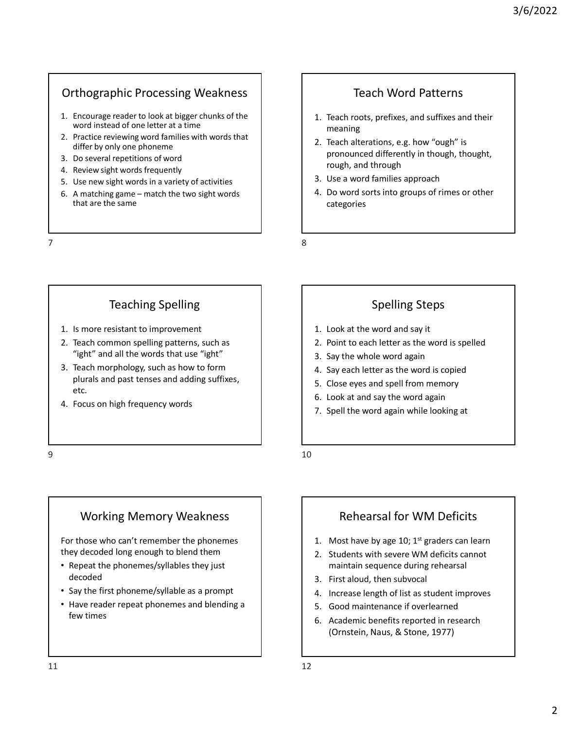## Orthographic Processing Weakness

- Orthographic Processing Weakness<br>
1. Encourage reader to look at bigger chunks of the<br>
word instead of one letter at a time<br>
2. Practice reviewing word families with words that<br>
2. Teach alterate<br>
2. Teach alterate<br>
3. Do word instead of one letter at a time Orthographic Processing Weakness<br>
1. Encourage reader to look at bigger chunks of the<br>
word instead of one letter at a time<br>
2. Practice reviewing word families with words that<br>
differ by only one phoneme<br>
3. Do several re
- Practice reviewing word families with words that<br>differ by only one phoneme<br>differ by only one phoneme
- 
- 
- 
- Orthographic Processing Weakness<br>
1. Encourage reader to look at bigger chunks of the<br>
word instead of one letter at a time<br>
2. Practice reviewing word families with words that<br>
2. Teach roots,<br>
affer by only one phoneme<br> Orthographic Processing Weakness<br>
1. Encourage reader to look at bigger chunks of the<br>
word instead of one letter at a time<br>
2. Practice reviewing word families with words that<br>
differ by only one phoneme<br>
3. Do several re Orthographic Processing Weakness<br>
1. Encourage reader to look at bigger chunks of the<br>
word instead of one letter at a time<br>
2. Practice reviewing word families with words that<br>
3. Do several repetitions of word<br>
4. Review that are the same

#### Teach Word Patterns

- meaning
- Orthographic Processing Weakness<br>
1. Encourage reader to look at bigger chunks of the<br>
word instead of one letter at a time<br>
differe by only one phoneme<br>
differe the positive of antiles with words that<br>
3. Do several repet 3/6/2022<br>
1. Teach roots, prefixes, and suffixes and their<br>
1. Teach roots, prefixes, and suffixes and their<br>
meaning<br>
2. Teach alterations, e.g. how "ough" is<br>
pronounced differently in though, thought,<br>
1. Use a word fam 3/6/2022<br>
Teach Word Patterns<br>
1. Teach roots, prefixes, and suffixes and their<br>
meaning<br>
2. Teach alterations, e.g. how "ough" is<br>
pronounced differently in though, thought,<br>
rough, and through<br>
3. Use a word families app pronounced differently in though, thought, rough, and through 3/6/2022<br>
Teach Word Patterns<br>
1. Teach roots, prefixes, and suffixes and their<br>
meaning<br>
2. Teach alterations, e.g. how "ough" is<br>
pronounced differently in though, thought,<br>
rough, and through<br>
3. Use a word families app 3/6/2022<br>
Teach Word Patterns<br>
1. Teach roots, prefixes, and suffixes and their<br>
meaning<br>
2. Teach alterations, e.g. how "ough" is<br>
pronounced differently in though, thought,<br>
rough, and through<br>
3. Use a word families app 1. Teach roots, prefixes, and suffixes and their<br>meaning<br>2. Teach alterations, e.g. how "ough" is<br>pronounced differently in though, thought,<br>rough, and through<br>3. Use a word families approach<br>4. Do word sorts into groups o 1. Teach roots, prefixes, and suffixes and their<br>
meaning<br>
2. Teach alterations, e.g. how "ough" is<br>
pronounced differently in though, thought,<br>
rough, and through<br>
3. Use a word families approach<br>
4. Do word sorts into gr meaning<br>
2. Teach alterations, e.g. how "ough" is<br>
ronounced differently in though, thought,<br>
rough, and through<br>
3. Use a word families approach<br>
4. Do word sorts into groups of rimes or other<br>
categories<br>
1. Look at the 2. Teach alterations, e.g. how "ough" is<br>
pronounced differently in though, thought,<br>
1. Use a word families approach<br>
4. Do word sorts into groups of rimes or other<br>
categories<br>
1. Look at the word and say it<br>
5. Spelling Orthographic Processing Weakness<br>
1. Encourage reader to look at bigger chunks of the<br>
verdinated one letter at a time<br>
2. Practice reviewing word families with words that<br>
2. Practice reviewing word families with words th
	-
	- categories pronounced differently in though, thought,<br>
	rough, and through<br>
	3. Use a word families approach<br>
	4. Do word sorts into groups of rimes or other<br>
	categories<br>
	5. Close and spelling Steps<br>
	1. Look at the word and say it<br>
	2. P Frough, and through<br>
	3. Use a word families approach<br>
	4. Do word sorts into groups of rimes or other<br>
	categories<br>
	5. Cook at the word and say it<br>
	2. Point to each letter as the word is spelled<br>
	3. Say the whole word again<br> 3. Use a word larinines approach<br>4. Do word sorts into groups of rimes or other<br>categories<br>1. Look at the word and say it<br>2. Point to each letter as the word is spelled<br>3. Say the whole word again<br>4. Say each letter as the

## Teaching Spelling

- 
- "ight" and all the words that use "ight"  $\begin{array}{|c|c|c|c|c|c|c|c|c|} \hline \end{array}$  3. Say the whole word again
- 1. Is more reastant to improvement<br>
2. Practice reviewing word families with words that a time<br>
differ by only one phone one.<br>
different to improvement<br>
6. A matching game match the two sight words<br>
1. Is more resistant 1. Encourage reader to look at bigger chunks of the<br>
2. Practice reviewing word families with words that<br>
3. Do several repetitions of word<br>
4. Review sight words frequently<br>
4. Do several repetitions of word<br>
4. Do werd s Example word tannilles with words that<br>
a. Beview sight words frequently<br>
4. Review sight words frequently<br>
5. Use new sight words frequently<br>
5. Use new sight words frequently<br>
6. A matching game – match the two sight wor plurals and past tenses and adding suffixes, etc. 4. Focus on high frequency words<br>
a. The mean interval of activities<br>
6. A matching game – match the two sight words<br>
4. Do word sort<br>
that are the same<br>
4. Do word sort<br>
are certaint to improvement<br>
8<br>
Teaching Spelling<br> Teaching Spelling<br>
1. Is more resistant to improvement<br>
2. Teach common spelling patterns, such as<br>
<sup>9</sup> "light" and all the word's spelled<br>
<sup>9</sup> "light" and all the word's spelled<br>
<sup>9</sup> "light" and all the word's spelling su
	-

## Spelling Steps

- 
- 
- 
- 
- 
- 
- 

## Working Memory Weakness

For those who can't remember the phonemes they decoded long enough to blend them  $\begin{vmatrix} 1 & 2 & 1 \end{vmatrix}$  2. Students with severe WM deficits cannot

- Repeat the phonemes/syllables they just decoded
- Say the first phoneme/syllable as a prompt  $\begin{vmatrix} 1 & 0 \\ 0 & 1 \end{vmatrix}$  a. Increase length of list as student improves
- Have reader repeat phonemes and blending a  $\vert$   $\vert$  5. Good maintenance if overlearned few times Working Memory Weakness<br>
For those who can't remember the phonemes<br>
they decoded long enough to blend them<br>
<br>
Rehearsal for WM Deficits<br>
2. Students with severe WM deficits cannot<br>
elected the phonemes/syllables they just<br>

# Rehearsal for WM Deficits

- 
- 1. Look at the word and say it<br>
2. Point to each letter as the word is spelled<br>
3. Say the whole word again<br>
4. Say each letter as the word is copied<br>
5. Close eyes and spell from memory<br>
6. Look at and say the word again<br> 1. Look at the word and say it<br>
2. Point to each letter as the word is spelled<br>
3. Say the whole word again<br>
4. Say each letter as the word is copied<br>
5. Close eyes and spell from memory<br>
6. Look at and say the word again<br> maintain sequence during rehearsal 3. Say the whole word again<br>4. Say each letter as the word is copied<br>5. Close eyes and spell from memory<br>6. Look at and say the word again<br>7. Spell the word again while looking at<br>7. Spell the word again while looking at<br>1 4. Say each letter as the word is copied<br>5. Close eyes and spell from memory<br>6. Look at and say the word again<br>7. Spell the word again while looking at<br>7. Spell the word again while looking at<br>1. Most have by age 10; 1<sup>st</sup> 5. Close eyes and spell from memory<br>6. Look at and say the word again<br>7. Spell the word again while looking at<br>7. Spell the word again while looking at<br>1. Most have by age 10; 1<sup>st</sup> graders can learn<br>2. Students with sever 6. Look at and say the word again<br>7. Spell the word again while looking at<br>7. Spell the word again while looking at<br>1. Most have by age 10; 1<sup>st</sup> graders can learn<br>2. Students with severe WM deficits cannot<br>maintain sequen
- 
- 
- 
- (Ornstein, Naus, & Stone, 1977)